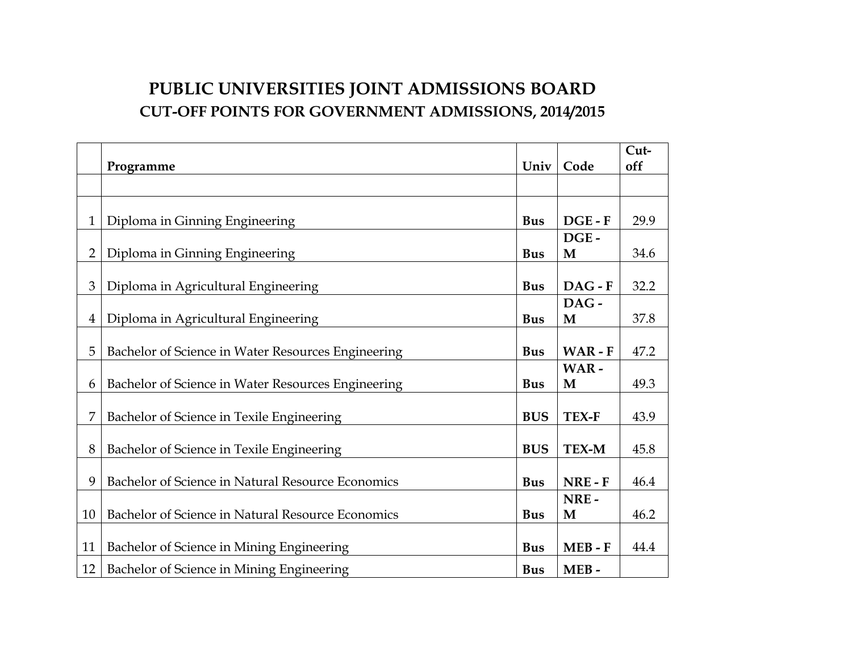## **PUBLIC UNIVERSITIES JOINT ADMISSIONS BOARD CUT-OFF POINTS FOR GOVERNMENT ADMISSIONS, 2014/2015**

|                |                                                    |            |           | Cut- |
|----------------|----------------------------------------------------|------------|-----------|------|
|                | Programme                                          | Univ       | Code      | off  |
|                |                                                    |            |           |      |
|                |                                                    |            |           |      |
| $\mathbf{1}$   | Diploma in Ginning Engineering                     | <b>Bus</b> | $DGE - F$ | 29.9 |
|                |                                                    |            | DGE-      |      |
| $\overline{2}$ | Diploma in Ginning Engineering                     | <b>Bus</b> | M         | 34.6 |
|                |                                                    |            |           |      |
| 3              | Diploma in Agricultural Engineering                | <b>Bus</b> | $DAG - F$ | 32.2 |
|                |                                                    |            | DAG-      |      |
| $\overline{4}$ | Diploma in Agricultural Engineering                | <b>Bus</b> | M         | 37.8 |
|                |                                                    |            |           |      |
| 5              | Bachelor of Science in Water Resources Engineering | <b>Bus</b> | WAR-F     | 47.2 |
|                |                                                    |            | WAR-      |      |
| 6              | Bachelor of Science in Water Resources Engineering | <b>Bus</b> | M         | 49.3 |
|                |                                                    |            |           |      |
| 7              | Bachelor of Science in Texile Engineering          | <b>BUS</b> | TEX-F     | 43.9 |
|                |                                                    |            |           |      |
| 8              | Bachelor of Science in Texile Engineering          | <b>BUS</b> | TEX-M     | 45.8 |
|                |                                                    |            |           |      |
| 9              | Bachelor of Science in Natural Resource Economics  | <b>Bus</b> | NRE-F     | 46.4 |
|                |                                                    |            | NRE-      |      |
| 10             | Bachelor of Science in Natural Resource Economics  | <b>Bus</b> | M         | 46.2 |
|                |                                                    |            |           |      |
| 11             | Bachelor of Science in Mining Engineering          | <b>Bus</b> | $MEB - F$ | 44.4 |
| 12             | Bachelor of Science in Mining Engineering          | <b>Bus</b> | MEB-      |      |